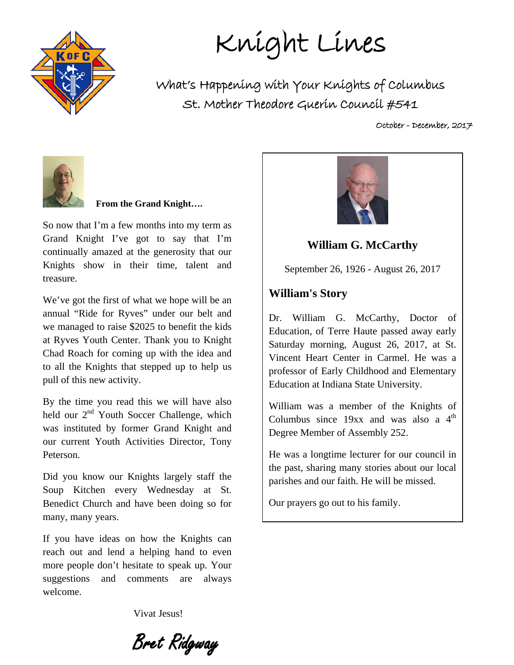

Knight Lines

What's Happening with Your Knights of Columbus St. Mother Theodore Guerin Council #541

October - December, 2017



#### **From the Grand Knight….**

So now that I'm a few months into my term as Grand Knight I've got to say that I'm continually amazed at the generosity that our Knights show in their time, talent and treasure.

We've got the first of what we hope will be an annual "Ride for Ryves" under our belt and we managed to raise \$2025 to benefit the kids at Ryves Youth Center. Thank you to Knight Chad Roach for coming up with the idea and to all the Knights that stepped up to help us pull of this new activity.

By the time you read this we will have also held our  $2<sup>nd</sup>$  Youth Soccer Challenge, which was instituted by former Grand Knight and our current Youth Activities Director, Tony Peterson.

Did you know our Knights largely staff the Soup Kitchen every Wednesday at St. Benedict Church and have been doing so for many, many years.

If you have ideas on how the Knights can reach out and lend a helping hand to even more people don't hesitate to speak up. Your suggestions and comments are always welcome.

Vivat Jesus!

Bret Ridgway



**William G. McCarthy**

September 26, 1926 - August 26, 2017

#### **William's Story**

Dr. William G. McCarthy, Doctor of Education, of Terre Haute passed away early Saturday morning, August 26, 2017, at St. Vincent Heart Center in Carmel. He was a professor of Early Childhood and Elementary Education at Indiana State University.

William was a member of the Knights of Columbus since  $19xx$  and was also a  $4<sup>th</sup>$ Degree Member of Assembly 252.

He was a longtime lecturer for our council in the past, sharing many stories about our local parishes and our faith. He will be missed.

Our prayers go out to his family.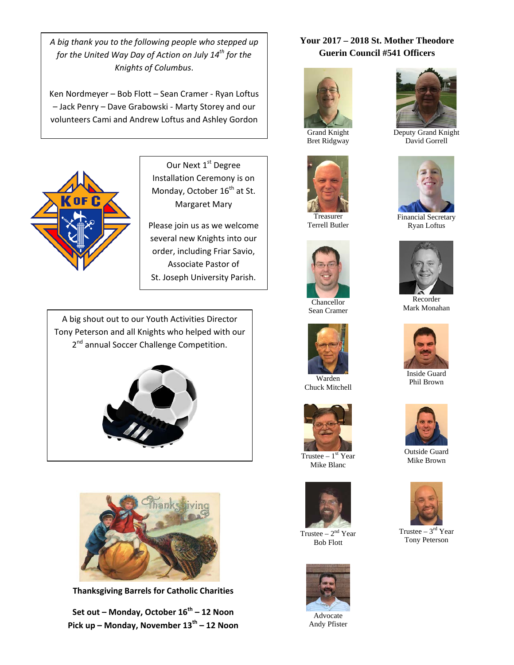*A big thank you to the following people who stepped up for the United Way Day of Action on July 14th for the Knights of Columbus*.

Ken Nordmeyer – Bob Flott – Sean Cramer - Ryan Loftus – Jack Penry – Dave Grabowski - Marty Storey and our volunteers Cami and Andrew Loftus and Ashley Gordon



Our Next 1st Degree Installation Ceremony is on Monday, October 16<sup>th</sup> at St. Margaret Mary

Please join us as we welcome several new Knights into our order, including Friar Savio, Associate Pastor of St. Joseph University Parish.

A big shout out to our Youth Activities Director Tony Peterson and all Knights who helped with our 2<sup>nd</sup> annual Soccer Challenge Competition.





**Thanksgiving Barrels for Catholic Charities**

**Set out – Monday, October 16th – 12 Noon Pick up – Monday, November 13th – 12 Noon**

#### **Your 2017 – 2018 St. Mother Theodore Guerin Council #541 Officers**



Grand Knight Bret Ridgway



Treasurer Terrell Butler



Chancellor Sean Cramer



Chuck Mitchell



Trustee  $-1<sup>st</sup>$  Year Mike Blanc



Trustee –  $2<sup>nd</sup>$  Year Bob Flott



Andy Pfister



Deputy Grand Knight David Gorrell



Financial Secretary Ryan Loftus



Recorder Mark Monahan



Inside Guard Phil Brown



Outside Guard Mike Brown



Trustee –  $3<sup>rd</sup>$  Year Tony Peterson



Advocate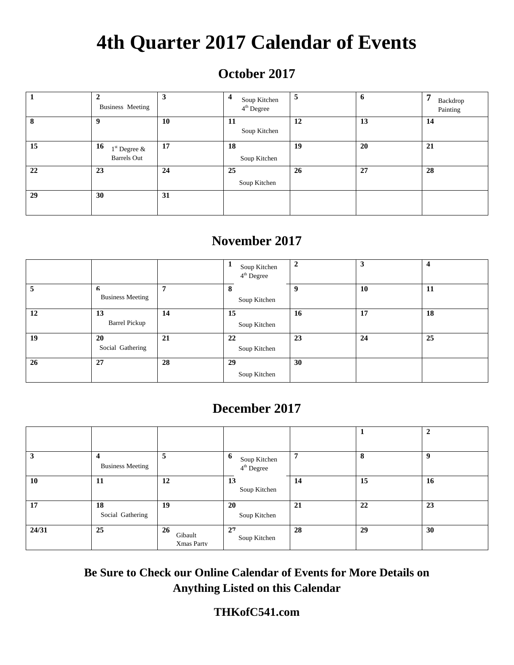# **4th Quarter 2017 Calendar of Events**

## **October 2017**

|    | $\mathbf{2}$<br><b>Business Meeting</b>    | 3  | 4<br>Soup Kitchen<br>$4th$ Degree | 5  | 6  | 7<br>Backdrop<br>Painting |
|----|--------------------------------------------|----|-----------------------------------|----|----|---------------------------|
| 8  | Q                                          | 10 | -11<br>Soup Kitchen               | 12 | 13 | 14                        |
| 15 | 16<br>$1st$ Degree &<br><b>Barrels</b> Out | 17 | 18<br>Soup Kitchen                | 19 | 20 | 21                        |
| 22 | 23                                         | 24 | 25<br>Soup Kitchen                | 26 | 27 | 28                        |
| 29 | 30                                         | 31 |                                   |    |    |                           |

### **November 2017**

|    |                               |    | Soup Kitchen<br>4 <sup>th</sup> Degree | $\overline{2}$ | 3  | 4  |
|----|-------------------------------|----|----------------------------------------|----------------|----|----|
| 5  | 6<br><b>Business Meeting</b>  | 7  | 8<br>Soup Kitchen                      | 9              | 10 | 11 |
| 12 | 13<br><b>Barrel Pickup</b>    | 14 | 15<br>Soup Kitchen                     | 16             | 17 | 18 |
| 19 | <b>20</b><br>Social Gathering | 21 | 22<br>Soup Kitchen                     | 23             | 24 | 25 |
| 26 | 27                            | 28 | 29<br>Soup Kitchen                     | 30             |    |    |

### **December 2017**

|       |                              |                                    |                                   |    |    | ◠  |
|-------|------------------------------|------------------------------------|-----------------------------------|----|----|----|
| 3     | 4<br><b>Business Meeting</b> | 5                                  | 6<br>Soup Kitchen<br>$4th$ Degree | 7  | 8  | 9  |
| 10    | 11                           | 12                                 | 13<br>Soup Kitchen                | 14 | 15 | 16 |
| 17    | 18<br>Social Gathering       | 19                                 | 20<br>Soup Kitchen                | 21 | 22 | 23 |
| 24/31 | 25                           | <b>26</b><br>Gibault<br>Xmas Party | 27<br>Soup Kitchen                | 28 | 29 | 30 |

**Be Sure to Check our Online Calendar of Events for More Details on Anything Listed on this Calendar**

### **THKofC541.com**